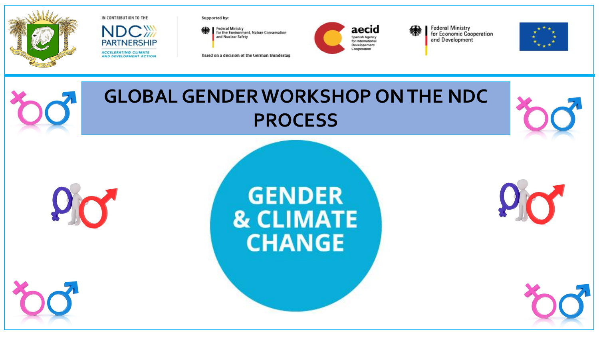



Supported by:

Federal Ministry<br>for the Environment, Nature Conservation and Nuclear Safety

based on a decision of the German Bundestag



aecid **Spanish Agency** for International Developement Cooperation

**Federal Ministry<br>for Economic Cooperation** and Development







**Programme National Changements Climatiques (PNCC)**

**GENDER & CLIMATE CHANGE** 





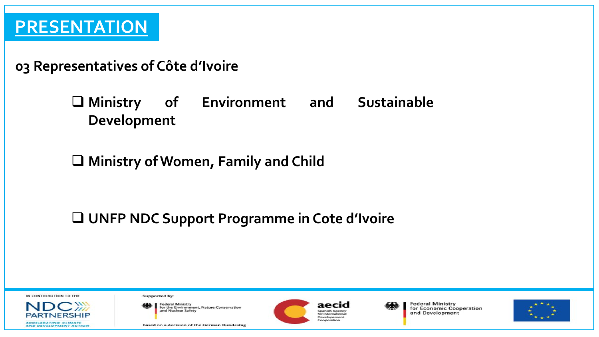### **03 Representatives of Côte d'Ivoire**

❑ **Ministry of Environment and Sustainable Development**

## ❑ **Ministry of Women, Family and Child**

❑ **UNFP NDC Support Programme in Cote d'Ivoire**

IN CONTRIBUTION TO THE

**ACCELERATING CLIMATE AND DEVELOPMENT ACTION**  Supported by:

**Federal Ministry** for the Environment, Nature Conservation<br>and Nuclear Safety

based on a decision of the German Bundestag



aecid **Spanish Agency** for International Developement

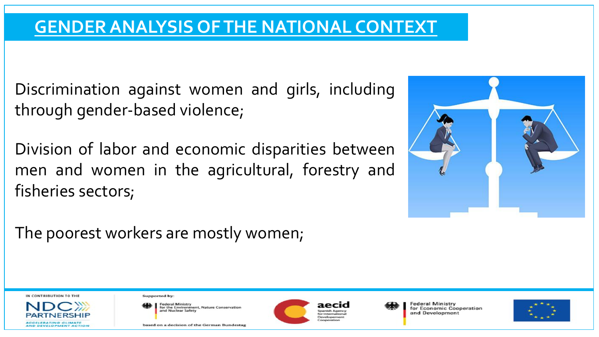## **GENDER ANALYSIS OF THE NATIONAL CONTEXT**

Discrimination against women and girls, including through gender-based violence;

Division of labor and economic disparities between men and women in the agricultural, forestry and fisheries sectors;



The poorest workers are mostly women;

#### IN CONTRIBUTION TO THE

**ACCELERATING CLIMATE** AND DEVELOPMENT ACTIO Supported by:

![](_page_2_Picture_8.jpeg)

based on a decision of the German Bundestas

![](_page_2_Picture_10.jpeg)

levelopemen

![](_page_2_Picture_13.jpeg)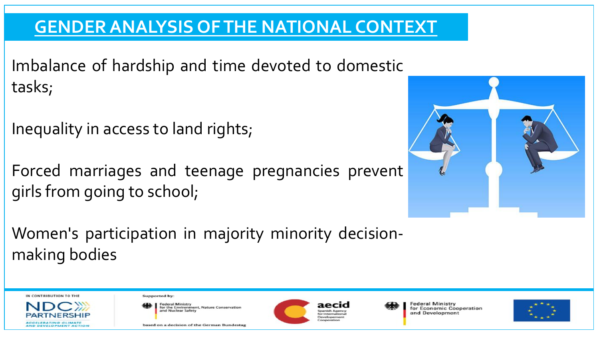# **GENDER ANALYSIS OF THE NATIONAL CONTEXT**

Imbalance of hardship and time devoted to domestic tasks;

Inequality in access to land rights;

Forced marriages and teenage pregnancies prevent girls from going to school;

![](_page_3_Picture_4.jpeg)

Women's participation in majority minority decisionmaking bodies

IN CONTRIBUTION TO THE

![](_page_3_Picture_7.jpeg)

Supported by:

**Federal Ministry** for the Environment, Nature Conservation and Nuclear Safety

based on a decision of the German Bundestas

![](_page_3_Picture_11.jpeg)

Jevelopemen

![](_page_3_Picture_14.jpeg)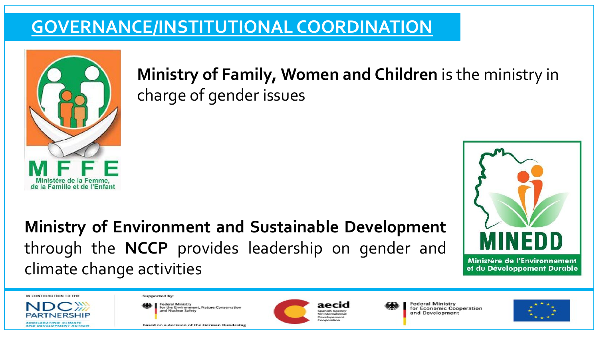# **GOVERNANCE/INSTITUTIONAL COORDINATION**

![](_page_4_Picture_1.jpeg)

**Ministry of Family, Women and Children** is the ministry in charge of gender issues

**Ministry of Environment and Sustainable Development** through the **NCCP** provides leadership on gender and climate change activities

![](_page_4_Picture_4.jpeg)

IN CONTRIBUTION TO THE

**ACCELERATING CLIMATE** 

AND DEVELOPMENT ACTIC

Supported by:

**Federal Ministry** for the Environment, Nature Conservation and Nuclear Safety

based on a decision of the German Bundestas

![](_page_4_Picture_9.jpeg)

aecıd *<u>Inanish Amend</u>* for Internations Developement

![](_page_4_Picture_12.jpeg)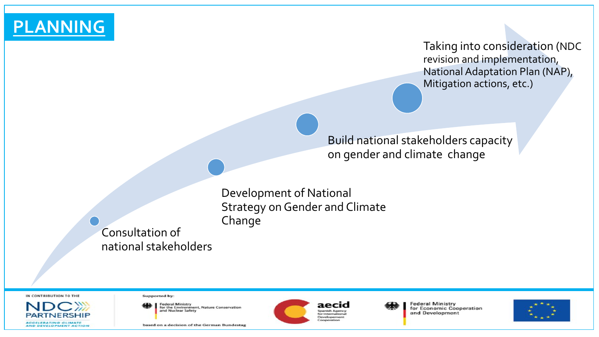**PLANNING**

Taking into consideration (NDC revision and implementation, National Adaptation Plan (NAP), Mitigation actions, etc.)

Build national stakeholders capacity on gender and climate change

Development of National Strategy on Gender and Climate Change

Consultation of national stakeholders

IN CONTRIBUTION TO THE

**ACCELERATING CLIMATE** AND DEVELOPMENT ACTIO Supported by:

**Federal Ministry** for the Environment, Nature Conservation<br>and Nuclear Safety

based on a decision of the German Bundestag

![](_page_5_Picture_10.jpeg)

aecid Spanish Ageno for International Developement

![](_page_5_Picture_14.jpeg)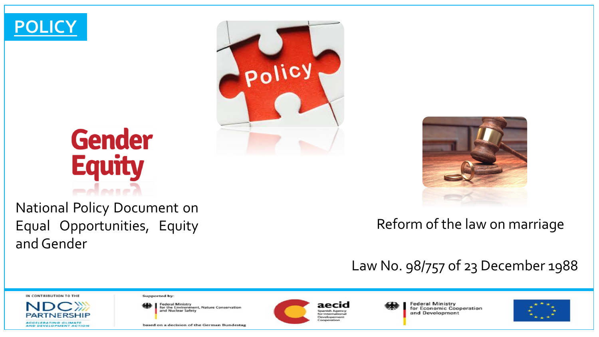![](_page_6_Picture_0.jpeg)

# **Gender Equity**

National Policy Document on Equal Opportunities, Equity and Gender

![](_page_6_Picture_3.jpeg)

![](_page_6_Picture_4.jpeg)

### Reform of the law on marriage

## Law No. 98/757 of 23 December 1988

### IN CONTRIBUTION TO THE

**ACCELERATING CLIMATE** AND DEVELOPMENT ACTION Supported by:

**Federal Ministry** for the Environment, Nature Conservation<br>and Nuclear Safety

based on a decision of the German Bundestag

![](_page_6_Picture_12.jpeg)

aecid Spanish Agency for International Developement

![](_page_6_Picture_15.jpeg)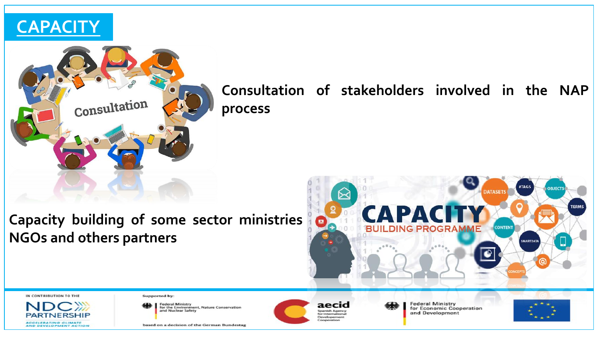![](_page_7_Picture_0.jpeg)

![](_page_7_Picture_1.jpeg)

### **Consultation of stakeholders involved in the NAP process**

### **Capacity building of some sector ministries NGOs and others partners**

![](_page_7_Picture_4.jpeg)

IN CONTRIBUTION TO THE

![](_page_7_Picture_6.jpeg)

Supported by:

**Federal Ministry** For the Environment, Nature Conservation<br>and Nuclear Safety

based on a decision of the German Bundestag

![](_page_7_Picture_10.jpeg)

aecid Spanish Agency for International Developement

![](_page_7_Picture_13.jpeg)